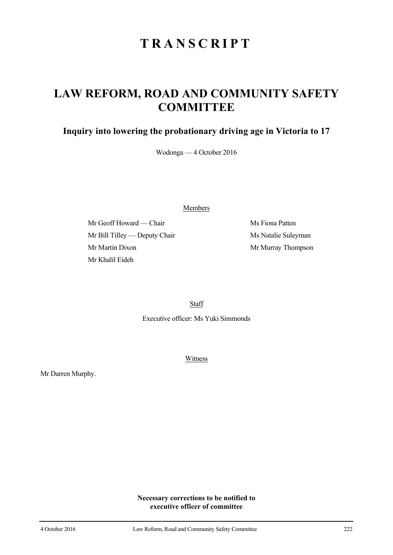## **TRANSCRIPT**

## **LAW REFORM, ROAD AND COMMUNITY SAFETY COMMITTEE**

## **Inquiry into lowering the probationary driving age in Victoria to 17**

Wodonga — 4 October 2016

Members

Mr Geoff Howard — Chair Ms Fiona Patten Mr Bill Tilley — Deputy Chair Ms Natalie Suleyman Mr Martin Dixon Mr Murray Thompson Mr Khalil Eideh

Staff

Executive officer: Ms Yuki Simmonds

Witness

Mr Darren Murphy.

**Necessary corrections to be notified to executive officer of committee**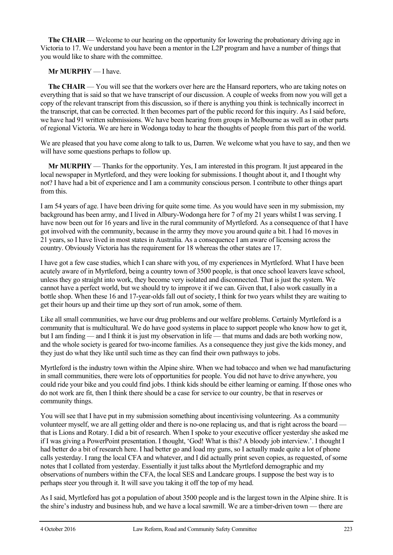**The CHAIR** — Welcome to our hearing on the opportunity for lowering the probationary driving age in Victoria to 17. We understand you have been a mentor in the L2P program and have a number of things that you would like to share with the committee.

## **Mr MURPHY** — I have.

**The CHAIR** — You will see that the workers over here are the Hansard reporters, who are taking notes on everything that is said so that we have transcript of our discussion. A couple of weeks from now you will get a copy of the relevant transcript from this discussion, so if there is anything you think is technically incorrect in the transcript, that can be corrected. It then becomes part of the public record for this inquiry. As I said before, we have had 91 written submissions. We have been hearing from groups in Melbourne as well as in other parts of regional Victoria. We are here in Wodonga today to hear the thoughts of people from this part of the world.

We are pleased that you have come along to talk to us, Darren. We welcome what you have to say, and then we will have some questions perhaps to follow up.

**Mr MURPHY** — Thanks for the opportunity. Yes, I am interested in this program. It just appeared in the local newspaper in Myrtleford, and they were looking for submissions. I thought about it, and I thought why not? I have had a bit of experience and I am a community conscious person. I contribute to other things apart from this.

I am 54 years of age. I have been driving for quite some time. As you would have seen in my submission, my background has been army, and I lived in Albury-Wodonga here for 7 of my 21 years whilst I was serving. I have now been out for 16 years and live in the rural community of Myrtleford. As a consequence of that I have got involved with the community, because in the army they move you around quite a bit. I had 16 moves in 21 years, so I have lived in most states in Australia. As a consequence I am aware of licensing across the country. Obviously Victoria has the requirement for 18 whereas the other states are 17.

I have got a few case studies, which I can share with you, of my experiences in Myrtleford. What I have been acutely aware of in Myrtleford, being a country town of 3500 people, is that once school leavers leave school, unless they go straight into work, they become very isolated and disconnected. That is just the system. We cannot have a perfect world, but we should try to improve it if we can. Given that, I also work casually in a bottle shop. When these 16 and 17-year-olds fall out of society, I think for two years whilst they are waiting to get their hours up and their time up they sort of run amok, some of them.

Like all small communities, we have our drug problems and our welfare problems. Certainly Myrtleford is a community that is multicultural. We do have good systems in place to support people who know how to get it, but I am finding — and I think it is just my observation in life — that mums and dads are both working now, and the whole society is geared for two-income families. As a consequence they just give the kids money, and they just do what they like until such time as they can find their own pathways to jobs.

Myrtleford is the industry town within the Alpine shire. When we had tobacco and when we had manufacturing in small communities, there were lots of opportunities for people. You did not have to drive anywhere, you could ride your bike and you could find jobs. I think kids should be either learning or earning. If those ones who do not work are fit, then I think there should be a case for service to our country, be that in reserves or community things.

You will see that I have put in my submission something about incentivising volunteering. As a community volunteer myself, we are all getting older and there is no-one replacing us, and that is right across the board that is Lions and Rotary. I did a bit of research. When I spoke to your executive officer yesterday she asked me if I was giving a PowerPoint presentation. I thought, 'God! What is this? A bloody job interview.'. I thought I had better do a bit of research here. I had better go and load my guns, so I actually made quite a lot of phone calls yesterday. I rang the local CFA and whatever, and I did actually print seven copies, as requested, of some notes that I collated from yesterday. Essentially it just talks about the Myrtleford demographic and my observations of numbers within the CFA, the local SES and Landcare groups. I suppose the best way is to perhaps steer you through it. It will save you taking it off the top of my head.

As I said, Myrtleford has got a population of about 3500 people and is the largest town in the Alpine shire. It is the shire's industry and business hub, and we have a local sawmill. We are a timber-driven town — there are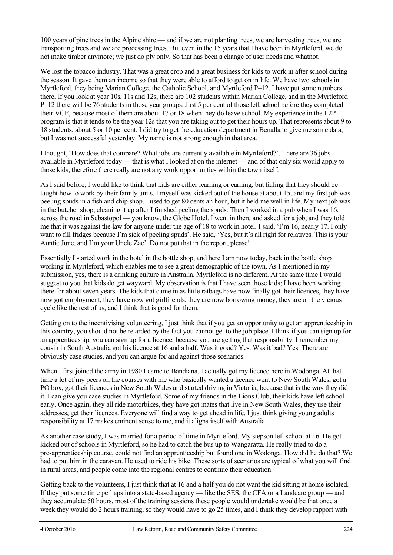100 years of pine trees in the Alpine shire — and if we are not planting trees, we are harvesting trees, we are transporting trees and we are processing trees. But even in the 15 years that I have been in Myrtleford, we do not make timber anymore; we just do ply only. So that has been a change of user needs and whatnot.

We lost the tobacco industry. That was a great crop and a great business for kids to work in after school during the season. It gave them an income so that they were able to afford to get on in life. We have two schools in Myrtleford, they being Marian College, the Catholic School, and Myrtleford P–12. I have put some numbers there. If you look at year 10s, 11s and 12s, there are 102 students within Marian College, and in the Myrtleford P–12 there will be 76 students in those year groups. Just 5 per cent of those left school before they completed their VCE, because most of them are about 17 or 18 when they do leave school. My experience in the L2P program is that it tends to be the year 12s that you are taking out to get their hours up. That represents about 9 to 18 students, about 5 or 10 per cent. I did try to get the education department in Benalla to give me some data, but I was not successful yesterday. My name is not strong enough in that area.

I thought, 'How does that compare? What jobs are currently available in Myrtleford?'. There are 36 jobs available in Myrtleford today — that is what I looked at on the internet — and of that only six would apply to those kids, therefore there really are not any work opportunities within the town itself.

As I said before, I would like to think that kids are either learning or earning, but failing that they should be taught how to work by their family units. I myself was kicked out of the house at about 15, and my first job was peeling spuds in a fish and chip shop. I used to get 80 cents an hour, but it held me well in life. My next job was in the butcher shop, cleaning it up after I finished peeling the spuds. Then I worked in a pub when I was 16, across the road in Sebastopol — you know, the Globe Hotel. I went in there and asked for a job, and they told me that it was against the law for anyone under the age of 18 to work in hotel. I said, 'I'm 16, nearly 17. I only want to fill fridges because I'm sick of peeling spuds'. He said, 'Yes, but it's all right for relatives. This is your Auntie June, and I'm your Uncle Zac'. Do not put that in the report, please!

Essentially I started work in the hotel in the bottle shop, and here I am now today, back in the bottle shop working in Myrtleford, which enables me to see a great demographic of the town. As I mentioned in my submission, yes, there is a drinking culture in Australia. Myrtleford is no different. At the same time I would suggest to you that kids do get wayward. My observation is that I have seen those kids; I have been working there for about seven years. The kids that came in as little ratbags have now finally got their licences, they have now got employment, they have now got girlfriends, they are now borrowing money, they are on the vicious cycle like the rest of us, and I think that is good for them.

Getting on to the incentivising volunteering, I just think that if you get an opportunity to get an apprenticeship in this country, you should not be retarded by the fact you cannot get to the job place. I think if you can sign up for an apprenticeship, you can sign up for a licence, because you are getting that responsibility. I remember my cousin in South Australia got his licence at 16 and a half. Was it good? Yes. Was it bad? Yes. There are obviously case studies, and you can argue for and against those scenarios.

When I first joined the army in 1980 I came to Bandiana. I actually got my licence here in Wodonga. At that time a lot of my peers on the courses with me who basically wanted a licence went to New South Wales, got a PO box, got their licences in New South Wales and started driving in Victoria, because that is the way they did it. I can give you case studies in Myrtleford. Some of my friends in the Lions Club, their kids have left school early. Once again, they all ride motorbikes, they have got mates that live in New South Wales, they use their addresses, get their licences. Everyone will find a way to get ahead in life. I just think giving young adults responsibility at 17 makes eminent sense to me, and it aligns itself with Australia.

As another case study, I was married for a period of time in Myrtleford. My stepson left school at 16. He got kicked out of schools in Myrtleford, so he had to catch the bus up to Wangaratta. He really tried to do a pre-apprenticeship course, could not find an apprenticeship but found one in Wodonga. How did he do that? We had to put him in the caravan. He used to ride his bike. These sorts of scenarios are typical of what you will find in rural areas, and people come into the regional centres to continue their education.

Getting back to the volunteers, I just think that at 16 and a half you do not want the kid sitting at home isolated. If they put some time perhaps into a state-based agency — like the SES, the CFA or a Landcare group — and they accumulate 50 hours, most of the training sessions these people would undertake would be that once a week they would do 2 hours training, so they would have to go 25 times, and I think they develop rapport with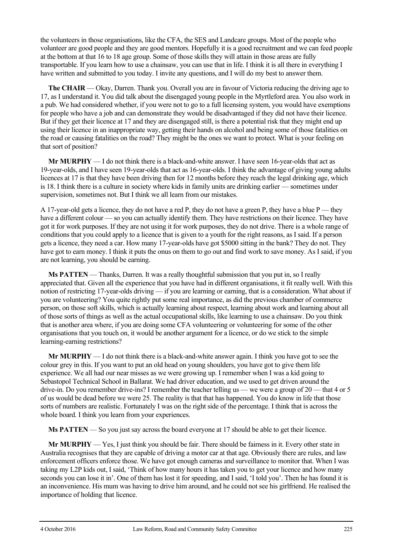the volunteers in those organisations, like the CFA, the SES and Landcare groups. Most of the people who volunteer are good people and they are good mentors. Hopefully it is a good recruitment and we can feed people at the bottom at that 16 to 18 age group. Some of those skills they will attain in those areas are fully transportable. If you learn how to use a chainsaw, you can use that in life. I think it is all there in everything I have written and submitted to you today. I invite any questions, and I will do my best to answer them.

**The CHAIR** — Okay, Darren. Thank you. Overall you are in favour of Victoria reducing the driving age to 17, as I understand it. You did talk about the disengaged young people in the Myrtleford area. You also work in a pub. We had considered whether, if you were not to go to a full licensing system, you would have exemptions for people who have a job and can demonstrate they would be disadvantaged if they did not have their licence. But if they get their licence at 17 and they are disengaged still, is there a potential risk that they might end up using their licence in an inappropriate way, getting their hands on alcohol and being some of those fatalities on the road or causing fatalities on the road? They might be the ones we want to protect. What is your feeling on that sort of position?

**Mr MURPHY** — I do not think there is a black-and-white answer. I have seen 16-year-olds that act as 19-year-olds, and I have seen 19-year-olds that act as 16-year-olds. I think the advantage of giving young adults licences at 17 is that they have been driving then for 12 months before they reach the legal drinking age, which is 18. I think there is a culture in society where kids in family units are drinking earlier — sometimes under supervision, sometimes not. But I think we all learn from our mistakes.

A 17-year-old gets a licence, they do not have a red P, they do not have a green P, they have a blue  $P$ —they have a different colour — so you can actually identify them. They have restrictions on their licence. They have got it for work purposes. If they are not using it for work purposes, they do not drive. There is a whole range of conditions that you could apply to a licence that is given to a youth for the right reasons, as I said. If a person gets a licence, they need a car. How many 17-year-olds have got \$5000 sitting in the bank? They do not. They have got to earn money. I think it puts the onus on them to go out and find work to save money. As I said, if you are not learning, you should be earning.

**Ms PATTEN** — Thanks, Darren. It was a really thoughtful submission that you put in, so I really appreciated that. Given all the experience that you have had in different organisations, it fit really well. With this notion of restricting 17-year-olds driving — if you are learning or earning, that is a consideration. What about if you are volunteering? You quite rightly put some real importance, as did the previous chamber of commerce person, on those soft skills, which is actually learning about respect, learning about work and learning about all of those sorts of things as well as the actual occupational skills, like learning to use a chainsaw. Do you think that is another area where, if you are doing some CFA volunteering or volunteering for some of the other organisations that you touch on, it would be another argument for a licence, or do we stick to the simple learning-earning restrictions?

**Mr MURPHY** — I do not think there is a black-and-white answer again. I think you have got to see the colour grey in this. If you want to put an old head on young shoulders, you have got to give them life experience. We all had our near misses as we were growing up. I remember when I was a kid going to Sebastopol Technical School in Ballarat. We had driver education, and we used to get driven around the drive-in. Do you remember drive-ins? I remember the teacher telling us — we were a group of 20 — that 4 or 5 of us would be dead before we were 25. The reality is that that has happened. You do know in life that those sorts of numbers are realistic. Fortunately I was on the right side of the percentage. I think that is across the whole board. I think you learn from your experiences.

**Ms PATTEN** — So you just say across the board everyone at 17 should be able to get their licence.

**Mr MURPHY** — Yes, I just think you should be fair. There should be fairness in it. Every other state in Australia recognises that they are capable of driving a motor car at that age. Obviously there are rules, and law enforcement officers enforce those. We have got enough cameras and surveillance to monitor that. When I was taking my L2P kids out, I said, 'Think of how many hours it has taken you to get your licence and how many seconds you can lose it in'. One of them has lost it for speeding, and I said, 'I told you'. Then he has found it is an inconvenience. His mum was having to drive him around, and he could not see his girlfriend. He realised the importance of holding that licence.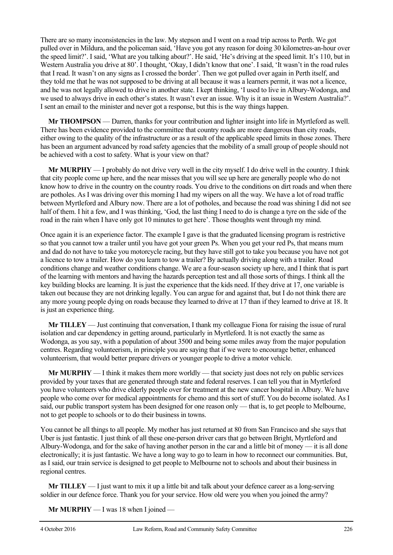There are so many inconsistencies in the law. My stepson and I went on a road trip across to Perth. We got pulled over in Mildura, and the policeman said, 'Have you got any reason for doing 30 kilometres-an-hour over the speed limit?'. I said, 'What are you talking about?'. He said, 'He's driving at the speed limit. It's 110, but in Western Australia you drive at 80'. I thought, 'Okay, I didn't know that one'. I said, 'It wasn't in the road rules that I read. It wasn't on any signs as I crossed the border'. Then we got pulled over again in Perth itself, and they told me that he was not supposed to be driving at all because it was a learners permit, it was not a licence, and he was not legally allowed to drive in another state. I kept thinking, 'I used to live in Albury-Wodonga, and we used to always drive in each other's states. It wasn't ever an issue. Why is it an issue in Western Australia?'. I sent an email to the minister and never got a response, but this is the way things happen.

**Mr THOMPSON** — Darren, thanks for your contribution and lighter insight into life in Myrtleford as well. There has been evidence provided to the committee that country roads are more dangerous than city roads, either owing to the quality of the infrastructure or as a result of the applicable speed limits in those zones. There has been an argument advanced by road safety agencies that the mobility of a small group of people should not be achieved with a cost to safety. What is your view on that?

**Mr MURPHY** — I probably do not drive very well in the city myself. I do drive well in the country. I think that city people come up here, and the near misses that you will see up here are generally people who do not know how to drive in the country on the country roads. You drive to the conditions on dirt roads and when there are potholes. As I was driving over this morning I had my wipers on all the way. We have a lot of road traffic between Myrtleford and Albury now. There are a lot of potholes, and because the road was shining I did not see half of them. I hit a few, and I was thinking, 'God, the last thing I need to do is change a tyre on the side of the road in the rain when I have only got 10 minutes to get here'. Those thoughts went through my mind.

Once again it is an experience factor. The example I gave is that the graduated licensing program is restrictive so that you cannot tow a trailer until you have got your green Ps. When you get your red Ps, that means mum and dad do not have to take you motorcycle racing, but they have still got to take you because you have not got a licence to tow a trailer. How do you learn to tow a trailer? By actually driving along with a trailer. Road conditions change and weather conditions change. We are a four-season society up here, and I think that is part of the learning with mentors and having the hazards perception test and all those sorts of things. I think all the key building blocks are learning. It is just the experience that the kids need. If they drive at 17, one variable is taken out because they are not drinking legally. You can argue for and against that, but I do not think there are any more young people dying on roads because they learned to drive at 17 than if they learned to drive at 18. It is just an experience thing.

**Mr TILLEY** — Just continuing that conversation, I thank my colleague Fiona for raising the issue of rural isolation and car dependency in getting around, particularly in Myrtleford. It is not exactly the same as Wodonga, as you say, with a population of about 3500 and being some miles away from the major population centres. Regarding volunteerism, in principle you are saying that if we were to encourage better, enhanced volunteerism, that would better prepare drivers or younger people to drive a motor vehicle.

**Mr MURPHY** — I think it makes them more worldly — that society just does not rely on public services provided by your taxes that are generated through state and federal reserves. I can tell you that in Myrtleford you have volunteers who drive elderly people over for treatment at the new cancer hospital in Albury. We have people who come over for medical appointments for chemo and this sort of stuff. You do become isolated. As I said, our public transport system has been designed for one reason only — that is, to get people to Melbourne, not to get people to schools or to do their business in towns.

You cannot be all things to all people. My mother has just returned at 80 from San Francisco and she says that Uber is just fantastic. I just think of all these one-person driver cars that go between Bright, Myrtleford and Albury-Wodonga, and for the sake of having another person in the car and a little bit of money — it is all done electronically; it is just fantastic. We have a long way to go to learn in how to reconnect our communities. But, as I said, our train service is designed to get people to Melbourne not to schools and about their business in regional centres.

**Mr TILLEY** — I just want to mix it up a little bit and talk about your defence career as a long-serving soldier in our defence force. Thank you for your service. How old were you when you joined the army?

**Mr MURPHY** — I was 18 when I joined —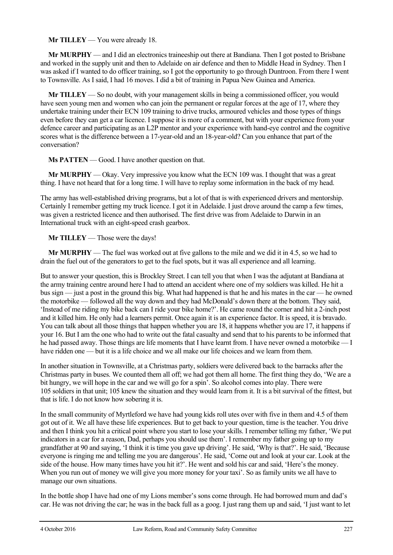**Mr TILLEY** — You were already 18.

**Mr MURPHY** — and I did an electronics traineeship out there at Bandiana. Then I got posted to Brisbane and worked in the supply unit and then to Adelaide on air defence and then to Middle Head in Sydney. Then I was asked if I wanted to do officer training, so I got the opportunity to go through Duntroon. From there I went to Townsville. As I said, I had 16 moves. I did a bit of training in Papua New Guinea and America.

**Mr TILLEY** — So no doubt, with your management skills in being a commissioned officer, you would have seen young men and women who can join the permanent or regular forces at the age of 17, where they undertake training under their ECN 109 training to drive trucks, armoured vehicles and those types of things even before they can get a car licence. I suppose it is more of a comment, but with your experience from your defence career and participating as an L2P mentor and your experience with hand-eye control and the cognitive scores what is the difference between a 17-year-old and an 18-year-old? Can you enhance that part of the conversation?

**Ms PATTEN** — Good. I have another question on that.

**Mr MURPHY** — Okay. Very impressive you know what the ECN 109 was. I thought that was a great thing. I have not heard that for a long time. I will have to replay some information in the back of my head.

The army has well-established driving programs, but a lot of that is with experienced drivers and mentorship. Certainly I remember getting my truck licence. I got it in Adelaide. I just drove around the camp a few times, was given a restricted licence and then authorised. The first drive was from Adelaide to Darwin in an International truck with an eight-speed crash gearbox.

**Mr TILLEY** — Those were the days!

**Mr MURPHY** — The fuel was worked out at five gallons to the mile and we did it in 4.5, so we had to drain the fuel out of the generators to get to the fuel spots, but it was all experience and all learning.

But to answer your question, this is Brockley Street. I can tell you that when I was the adjutant at Bandiana at the army training centre around here I had to attend an accident where one of my soldiers was killed. He hit a bus sign — just a post in the ground this big. What had happened is that he and his mates in the car — he owned the motorbike — followed all the way down and they had McDonald's down there at the bottom. They said, 'Instead of me riding my bike back can I ride your bike home?'. He came round the corner and hit a 2-inch post and it killed him. He only had a learners permit. Once again it is an experience factor. It is speed, it is bravado. You can talk about all those things that happen whether you are 18, it happens whether you are 17, it happens if your 16. But I am the one who had to write out the fatal casualty and send that to his parents to be informed that he had passed away. Those things are life moments that I have learnt from. I have never owned a motorbike — I have ridden one — but it is a life choice and we all make our life choices and we learn from them.

In another situation in Townsville, at a Christmas party, soldiers were delivered back to the barracks after the Christmas party in buses. We counted them all off; we had got them all home. The first thing they do, 'We are a bit hungry, we will hope in the car and we will go for a spin'. So alcohol comes into play. There were 105 soldiers in that unit; 105 knew the situation and they would learn from it. It is a bit survival of the fittest, but that is life. I do not know how sobering it is.

In the small community of Myrtleford we have had young kids roll utes over with five in them and 4.5 of them got out of it. We all have these life experiences. But to get back to your question, time is the teacher. You drive and then I think you hit a critical point where you start to lose your skills. I remember telling my father, 'We put indicators in a car for a reason, Dad, perhaps you should use them'. I remember my father going up to my grandfather at 90 and saying, 'I think it is time you gave up driving'. He said, 'Why is that?'. He said, 'Because everyone is ringing me and telling me you are dangerous'. He said, 'Come out and look at your car. Look at the side of the house. How many times have you hit it?'. He went and sold his car and said, 'Here's the money. When you run out of money we will give you more money for your taxi'. So as family units we all have to manage our own situations.

In the bottle shop I have had one of my Lions member's sons come through. He had borrowed mum and dad's car. He was not driving the car; he was in the back full as a goog. I just rang them up and said, 'I just want to let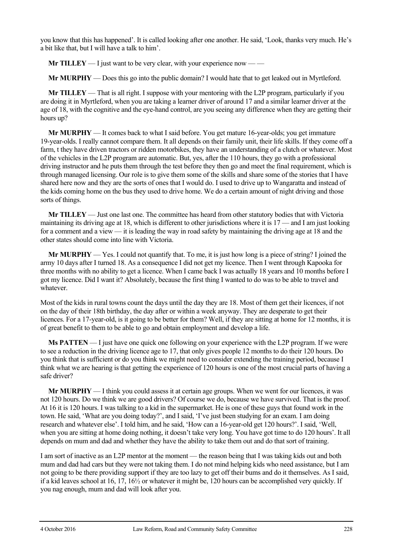you know that this has happened'. It is called looking after one another. He said, 'Look, thanks very much. He's a bit like that, but I will have a talk to him'.

**Mr TILLEY** — I just want to be very clear, with your experience now — —

**Mr MURPHY** — Does this go into the public domain? I would hate that to get leaked out in Myrtleford.

**Mr TILLEY** — That is all right. I suppose with your mentoring with the L2P program, particularly if you are doing it in Myrtleford, when you are taking a learner driver of around 17 and a similar learner driver at the age of 18, with the cognitive and the eye-hand control, are you seeing any difference when they are getting their hours up?

**Mr MURPHY** — It comes back to what I said before. You get mature 16-year-olds; you get immature 19-year-olds. I really cannot compare them. It all depends on their family unit, their life skills. If they come off a farm, t they have driven tractors or ridden motorbikes, they have an understanding of a clutch or whatever. Most of the vehicles in the L2P program are automatic. But, yes, after the 110 hours, they go with a professional driving instructor and he puts them through the test before they then go and meet the final requirement, which is through managed licensing. Our role is to give them some of the skills and share some of the stories that I have shared here now and they are the sorts of ones that I would do. I used to drive up to Wangaratta and instead of the kids coming home on the bus they used to drive home. We do a certain amount of night driving and those sorts of things.

**Mr TILLEY** — Just one last one. The committee has heard from other statutory bodies that with Victoria maintaining its driving age at 18, which is different to other jurisdictions where it is 17 — and I am just looking for a comment and a view — it is leading the way in road safety by maintaining the driving age at 18 and the other states should come into line with Victoria.

**Mr MURPHY** — Yes. I could not quantify that. To me, it is just how long is a piece of string? I joined the army 10 days after I turned 18. As a consequence I did not get my licence. Then I went through Kapooka for three months with no ability to get a licence. When I came back I was actually 18 years and 10 months before I got my licence. Did I want it? Absolutely, because the first thing I wanted to do was to be able to travel and whatever.

Most of the kids in rural towns count the days until the day they are 18. Most of them get their licences, if not on the day of their 18th birthday, the day after or within a week anyway. They are desperate to get their licences. For a 17-year-old, is it going to be better for them? Well, if they are sitting at home for 12 months, it is of great benefit to them to be able to go and obtain employment and develop a life.

**Ms PATTEN** — I just have one quick one following on your experience with the L2P program. If we were to see a reduction in the driving licence age to 17, that only gives people 12 months to do their 120 hours. Do you think that is sufficient or do you think we might need to consider extending the training period, because I think what we are hearing is that getting the experience of 120 hours is one of the most crucial parts of having a safe driver?

**Mr MURPHY** — I think you could assess it at certain age groups. When we went for our licences, it was not 120 hours. Do we think we are good drivers? Of course we do, because we have survived. That is the proof. At 16 it is 120 hours. I was talking to a kid in the supermarket. He is one of these guys that found work in the town. He said, 'What are you doing today?', and I said, 'I've just been studying for an exam. I am doing research and whatever else'. I told him, and he said, 'How can a 16-year-old get 120 hours?'. I said, 'Well, when you are sitting at home doing nothing, it doesn't take very long. You have got time to do 120 hours'. It all depends on mum and dad and whether they have the ability to take them out and do that sort of training.

I am sort of inactive as an L2P mentor at the moment — the reason being that I was taking kids out and both mum and dad had cars but they were not taking them. I do not mind helping kids who need assistance, but I am not going to be there providing support if they are too lazy to get off their bums and do it themselves. As I said, if a kid leaves school at 16, 17, 16½ or whatever it might be, 120 hours can be accomplished very quickly. If you nag enough, mum and dad will look after you.